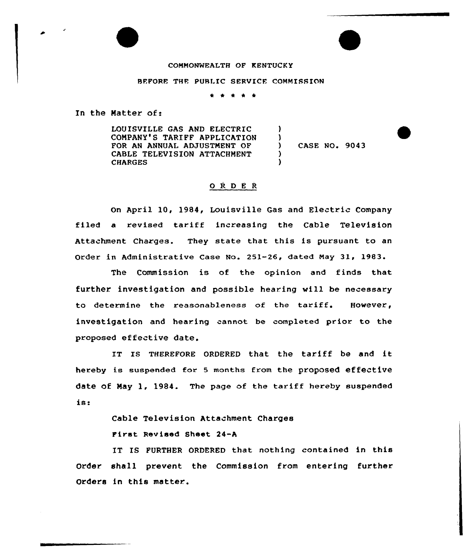## COMMONWEALTH OF KENTUCKY

## BEFORE THE PUBLIC SERVICE COMMISSION

\* \* <sup>4</sup> \* \*

)  $\left\{ \right\}$ 

) )

In the Matter of:

LOUISVILLE GAS AND ELECTRIC COMPANY'S TARIFF APPLICATION FOR AN ANNUAL ADJUSTMENT OF CABLE TELEVISION ATTACHMENT **CHARGES** 

CASE NO. 9043

## O R D E R

On April 10, 1984, Louisville Gas and Electric Company filed a revised tariff increasing the Cable Television Attachment Charges. They state that this is pursuant to an Order in Administrative Case No. 251-26, dated May 31, 1983.

The Commission is of the opinion and finds that further investigation and possible hearing will be necessary to determine the reasonableness of the tariff. However, investigation and hearing cannot be completed prior to the proposed effective date.

IT IS THEREFORE ORDERED that the tariff be and it hereby is suspended for <sup>5</sup> months from the proposed effective date of May 1, 1984. The page of the tariff hereby suspended is

Cable Television Attachment Charges

First Revised Sheet 24-A

IT IS FURTHER ORDERED that nothing contained in this order. shall prevent the Commission from entering further Orders in this matter..